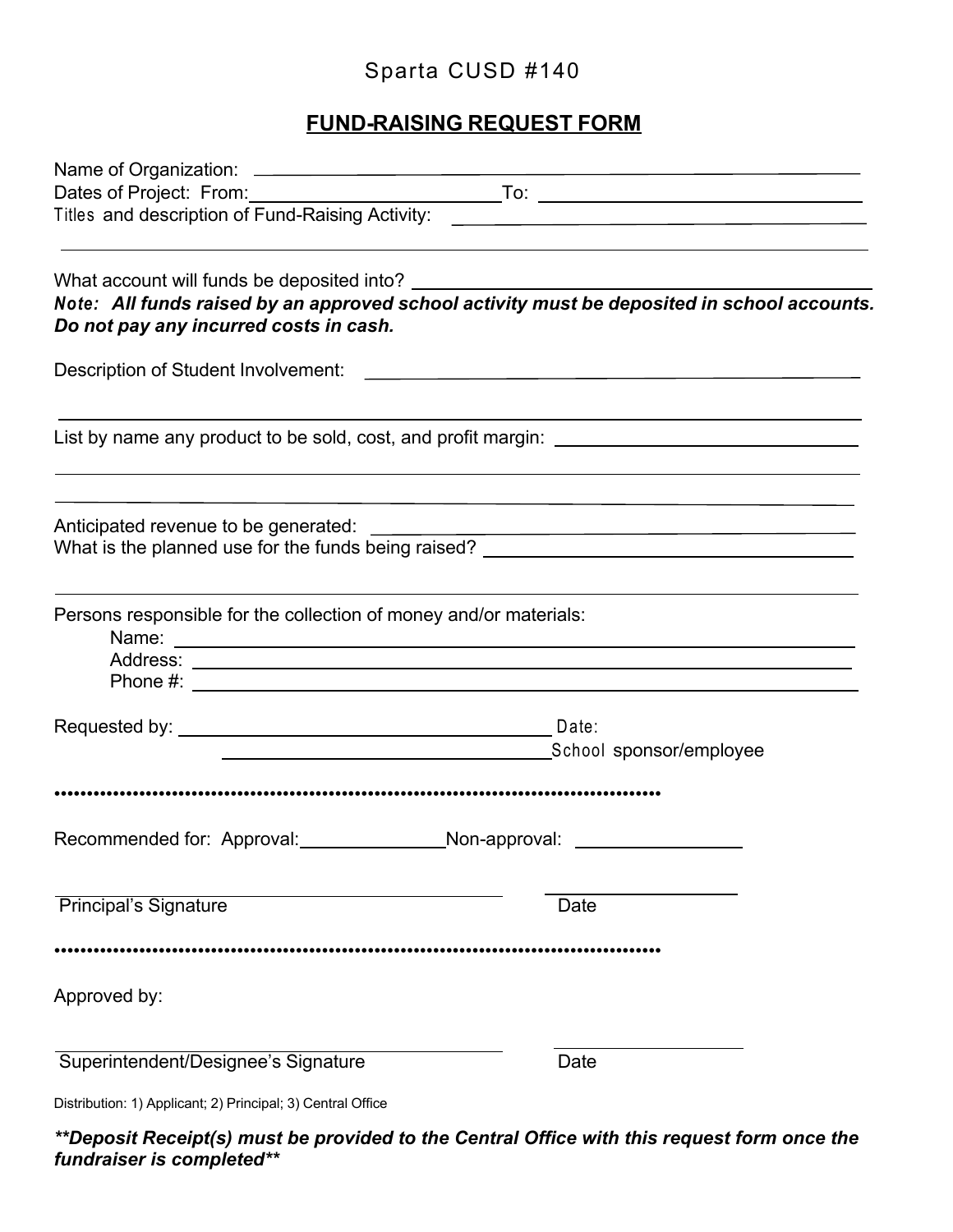## Sparta CUSD #140

## **FUND-RAISING REQUEST FORM**

| Do not pay any incurred costs in cash.                                                                               | Note: All funds raised by an approved school activity must be deposited in school accounts. |
|----------------------------------------------------------------------------------------------------------------------|---------------------------------------------------------------------------------------------|
| Description of Student Involvement: New York Change and Change and Change and Change and Change and Change and       |                                                                                             |
|                                                                                                                      | List by name any product to be sold, cost, and profit margin: ___________________           |
|                                                                                                                      | What is the planned use for the funds being raised? ____________________________            |
| Persons responsible for the collection of money and/or materials:                                                    |                                                                                             |
| <u> Alexandria de la contrada de la contrada de la contrada de la contrada de la contrada de la contrada de la c</u> | School sponsor/employee                                                                     |
|                                                                                                                      |                                                                                             |
|                                                                                                                      |                                                                                             |
| <b>Principal's Signature</b>                                                                                         | Date                                                                                        |
| Approved by:                                                                                                         |                                                                                             |
| Superintendent/Designee's Signature                                                                                  | Date                                                                                        |
| Distribution: 1) Applicant; 2) Principal; 3) Central Office                                                          |                                                                                             |

*\*\*Deposit Receipt(s) must be provided to the Central Office with this request form once the fundraiser is completed\*\**